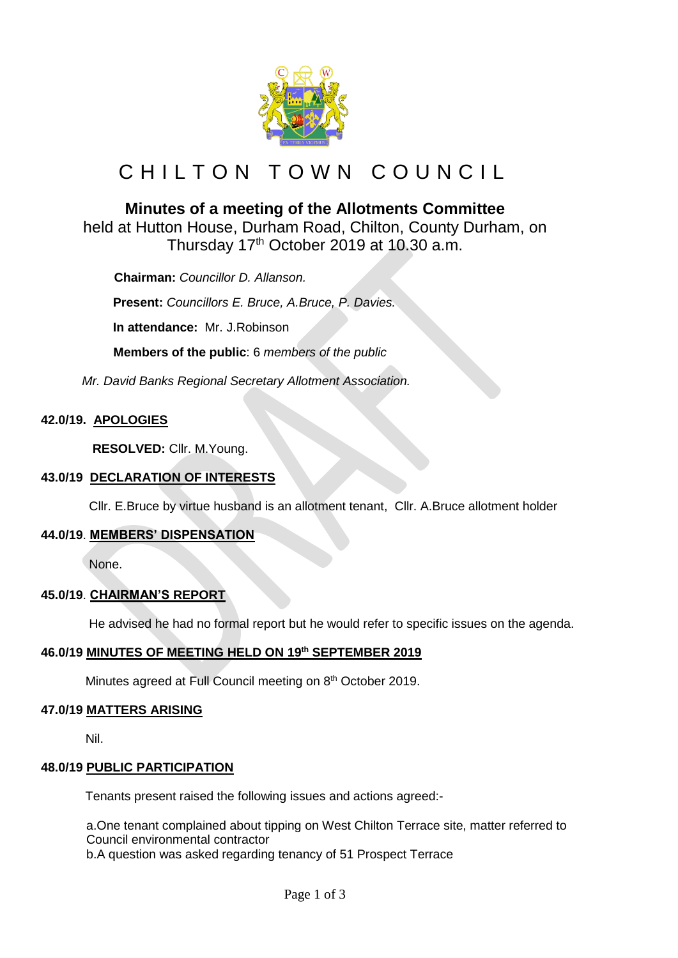

# CHILTON TOWN COUNCIL

## **Minutes of a meeting of the Allotments Committee**

held at Hutton House, Durham Road, Chilton, County Durham, on Thursday 17<sup>th</sup> October 2019 at 10.30 a.m.

 **Chairman:** *Councillor D. Allanson.*

**Present:** *Councillors E. Bruce, A.Bruce, P. Davies.*

**In attendance:** Mr. J.Robinson

 **Members of the public**: 6 *members of the public*

*Mr. David Banks Regional Secretary Allotment Association.*

## **42.0/19. APOLOGIES**

 **RESOLVED:** Cllr. M.Young.

#### **43.0/19 DECLARATION OF INTERESTS**

Cllr. E.Bruce by virtue husband is an allotment tenant, Cllr. A.Bruce allotment holder

## **44.0/19**. **MEMBERS' DISPENSATION**

None.

## **45.0/19**. **CHAIRMAN'S REPORT**

He advised he had no formal report but he would refer to specific issues on the agenda.

## **46.0/19 MINUTES OF MEETING HELD ON 19 th SEPTEMBER 2019**

Minutes agreed at Full Council meeting on 8<sup>th</sup> October 2019.

#### **47.0/19 MATTERS ARISING**

Nil.

#### **48.0/19 PUBLIC PARTICIPATION**

Tenants present raised the following issues and actions agreed:-

a.One tenant complained about tipping on West Chilton Terrace site, matter referred to Council environmental contractor b.A question was asked regarding tenancy of 51 Prospect Terrace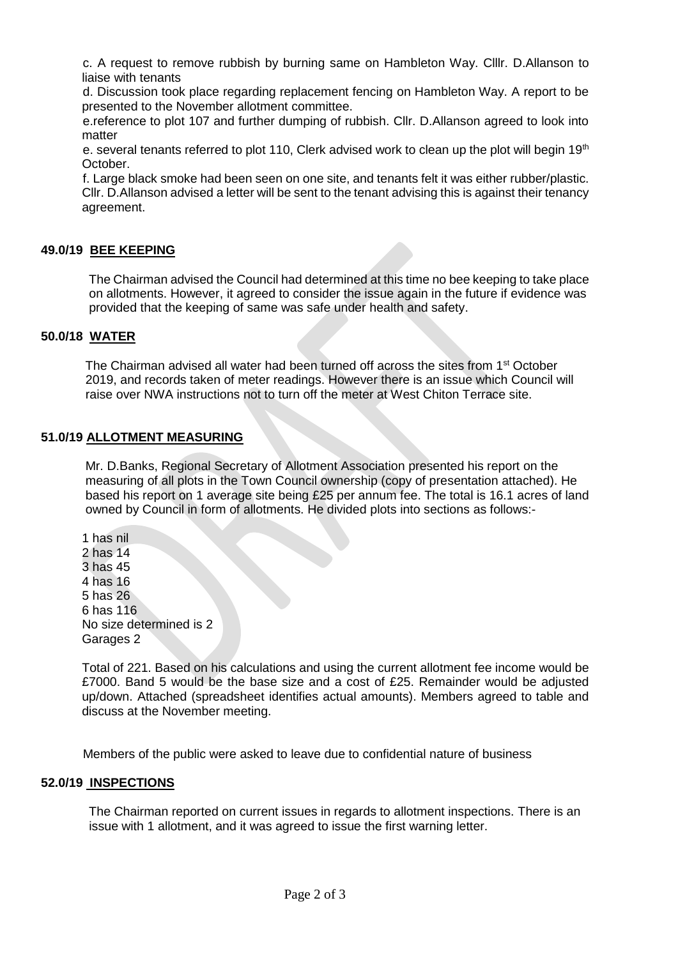c. A request to remove rubbish by burning same on Hambleton Way. Clllr. D.Allanson to liaise with tenants

d. Discussion took place regarding replacement fencing on Hambleton Way. A report to be presented to the November allotment committee.

e.reference to plot 107 and further dumping of rubbish. Cllr. D.Allanson agreed to look into matter

e. several tenants referred to plot 110, Clerk advised work to clean up the plot will begin 19<sup>th</sup> October.

f. Large black smoke had been seen on one site, and tenants felt it was either rubber/plastic. Cllr. D.Allanson advised a letter will be sent to the tenant advising this is against their tenancy agreement.

#### **49.0/19 BEE KEEPING**

 The Chairman advised the Council had determined at this time no bee keeping to take place on allotments. However, it agreed to consider the issue again in the future if evidence was provided that the keeping of same was safe under health and safety.

## **50.0/18 WATER**

The Chairman advised all water had been turned off across the sites from 1<sup>st</sup> October 2019, and records taken of meter readings. However there is an issue which Council will raise over NWA instructions not to turn off the meter at West Chiton Terrace site.

#### **51.0/19 ALLOTMENT MEASURING**

Mr. D.Banks, Regional Secretary of Allotment Association presented his report on the measuring of all plots in the Town Council ownership (copy of presentation attached). He based his report on 1 average site being £25 per annum fee. The total is 16.1 acres of land owned by Council in form of allotments. He divided plots into sections as follows:-

1 has nil 2 has 14 3 has 45 4 has 16 5 has 26 6 has 116 No size determined is 2 Garages 2

Total of 221. Based on his calculations and using the current allotment fee income would be £7000. Band 5 would be the base size and a cost of £25. Remainder would be adjusted up/down. Attached (spreadsheet identifies actual amounts). Members agreed to table and discuss at the November meeting.

Members of the public were asked to leave due to confidential nature of business

#### **52.0/19 INSPECTIONS**

 The Chairman reported on current issues in regards to allotment inspections. There is an issue with 1 allotment, and it was agreed to issue the first warning letter.